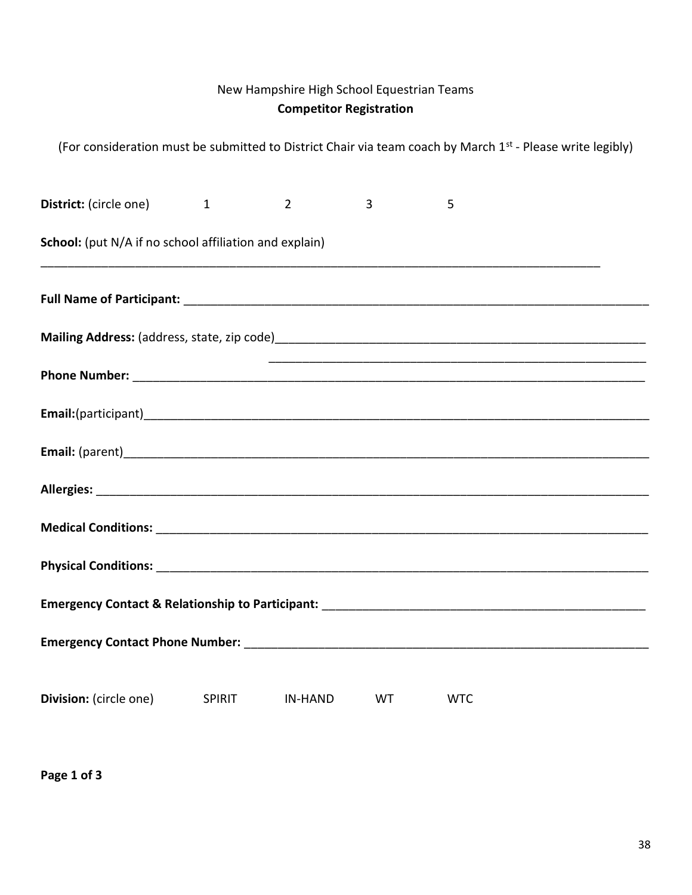# New Hampshire High School Equestrian Teams Competitor Registration

| (For consideration must be submitted to District Chair via team coach by March 1 <sup>st</sup> - Please write legibly) |                |                |            |  |
|------------------------------------------------------------------------------------------------------------------------|----------------|----------------|------------|--|
| District: (circle one) 1                                                                                               | $\overline{2}$ | $\overline{3}$ | 5          |  |
| School: (put N/A if no school affiliation and explain)                                                                 |                |                |            |  |
|                                                                                                                        |                |                |            |  |
|                                                                                                                        |                |                |            |  |
|                                                                                                                        |                |                |            |  |
|                                                                                                                        |                |                |            |  |
|                                                                                                                        |                |                |            |  |
|                                                                                                                        |                |                |            |  |
|                                                                                                                        |                |                |            |  |
|                                                                                                                        |                |                |            |  |
|                                                                                                                        |                |                |            |  |
|                                                                                                                        |                |                |            |  |
| <b>Division:</b> (circle one) SPIRIT                                                                                   | <b>IN-HAND</b> | <b>WT</b>      | <b>WTC</b> |  |

Page 1 of 3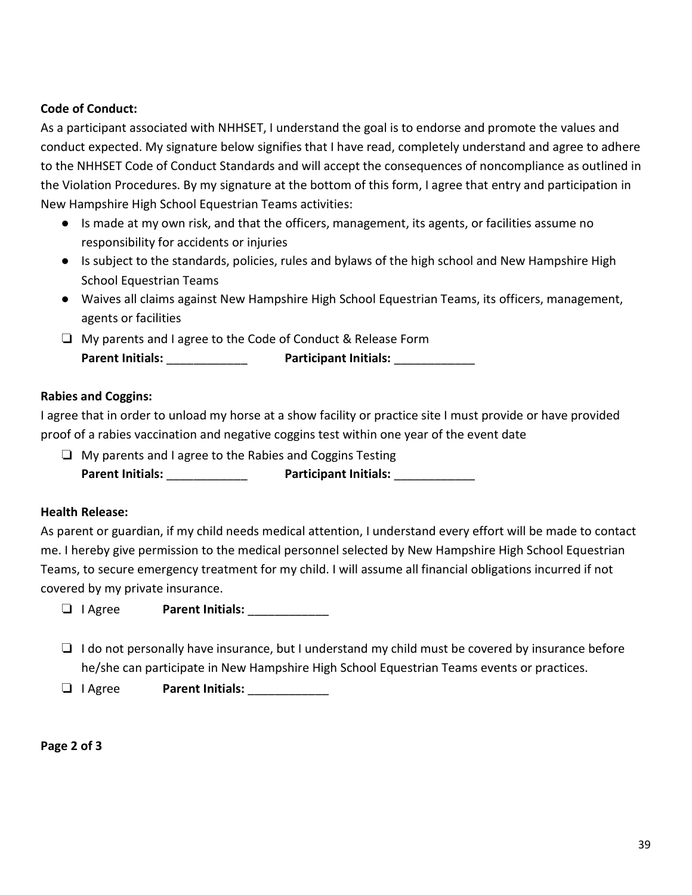## Code of Conduct:

As a participant associated with NHHSET, I understand the goal is to endorse and promote the values and conduct expected. My signature below signifies that I have read, completely understand and agree to adhere to the NHHSET Code of Conduct Standards and will accept the consequences of noncompliance as outlined in the Violation Procedures. By my signature at the bottom of this form, I agree that entry and participation in New Hampshire High School Equestrian Teams activities:

- Is made at my own risk, and that the officers, management, its agents, or facilities assume no responsibility for accidents or injuries
- Is subject to the standards, policies, rules and bylaws of the high school and New Hampshire High School Equestrian Teams
- Waives all claims against New Hampshire High School Equestrian Teams, its officers, management, agents or facilities
- ❏ My parents and I agree to the Code of Conduct & Release Form Parent Initials: \_\_\_\_\_\_\_\_\_\_\_\_ Participant Initials: \_\_\_\_\_\_\_\_\_\_\_\_

### Rabies and Coggins:

I agree that in order to unload my horse at a show facility or practice site I must provide or have provided proof of a rabies vaccination and negative coggins test within one year of the event date

❏ My parents and I agree to the Rabies and Coggins Testing Parent Initials: example and Participant Initials:  $\blacksquare$ 

#### Health Release:

As parent or guardian, if my child needs medical attention, I understand every effort will be made to contact me. I hereby give permission to the medical personnel selected by New Hampshire High School Equestrian Teams, to secure emergency treatment for my child. I will assume all financial obligations incurred if not covered by my private insurance.

- ❏ I Agree Parent Initials: \_\_\_\_\_\_\_\_\_\_\_\_
- ❏ I do not personally have insurance, but I understand my child must be covered by insurance before he/she can participate in New Hampshire High School Equestrian Teams events or practices.
- ❏ I Agree Parent Initials: \_\_\_\_\_\_\_\_\_\_\_\_

Page 2 of 3